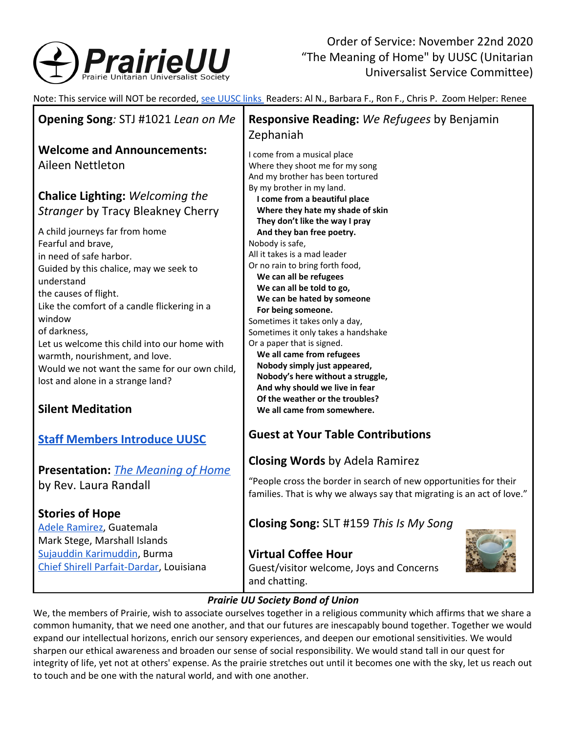

Note: This service will NOT be recorded, see [UUSC](https://www.uusc.org/wp-content/uploads/2020/09/GAYT-2020-21-Stories-of-Hope.pdf) links Readers: Al N., Barbara F., Ron F., Chris P. Zoom Helper: Renee

**Opening Song***:* STJ #1021 *Lean on Me*

**Welcome and Announcements:** Aileen Nettleton

# **Chalice Lighting:** *Welcoming the Stranger* by Tracy Bleakney Cherry

A child journeys far from home Fearful and brave, in need of safe harbor. Guided by this chalice, may we seek to understand the causes of flight. Like the comfort of a candle flickering in a window of darkness, Let us welcome this child into our home with warmth, nourishment, and love. Would we not want the same for our own child, lost and alone in a strange land?

# **Silent Meditation**

# **Staff Members [Introduce](https://vimeo.com/423612237/ebe11435f8) UUSC**

**Presentation:** *The [Meaning](https://vimeo.com/459034585/d3735aee66) of Home* by Rev. Laura Randall

## **Stories of Hope**

[Adele Ramirez,](https://www.youtube.com/watch?v=PZq3l_HvJ5A&feature=youtu.be) Guatemala Mark Stege, Marshall Islands [Sujauddin Karimuddin](https://vimeo.com/458154520/5cacdf7edf), Burma [Chief Shirell Parfait-Dardar,](https://www.youtube.com/watch?v=rbphUxHHIDY&t=5s) Louisiana

## **Responsive Reading:** *We Refugees* by Benjamin Zephaniah

I come from a musical place Where they shoot me for my song And my brother has been tortured By my brother in my land. **I come from a beautiful place Where they hate my shade of skin They don't like the way I pray And they ban free poetry.** Nobody is safe, All it takes is a mad leader Or no rain to bring forth food, **We can all be refugees We can all be told to go, We can be hated by someone For being someone.** Sometimes it takes only a day, Sometimes it only takes a handshake Or a paper that is signed. **We all came from refugees Nobody simply just appeared, Nobody's here without a struggle, And why should we live in fear Of the weather or the troubles? We all came from somewhere.**

# **Guest at Your Table Contributions**

# **Closing Words** by Adela Ramirez

"People cross the border in search of new opportunities for their families. That is why we always say that migrating is an act of love."

# **Closing Song:** SLT #159 *This Is My Song*

**Virtual Coffee Hour** Guest/visitor welcome, Joys and Concerns and chatting.



## *Prairie UU Society Bond of Union*

We, the members of Prairie, wish to associate ourselves together in a religious community which affirms that we share a common humanity, that we need one another, and that our futures are inescapably bound together. Together we would expand our intellectual horizons, enrich our sensory experiences, and deepen our emotional sensitivities. We would sharpen our ethical awareness and broaden our sense of social responsibility. We would stand tall in our quest for integrity of life, yet not at others' expense. As the prairie stretches out until it becomes one with the sky, let us reach out to touch and be one with the natural world, and with one another.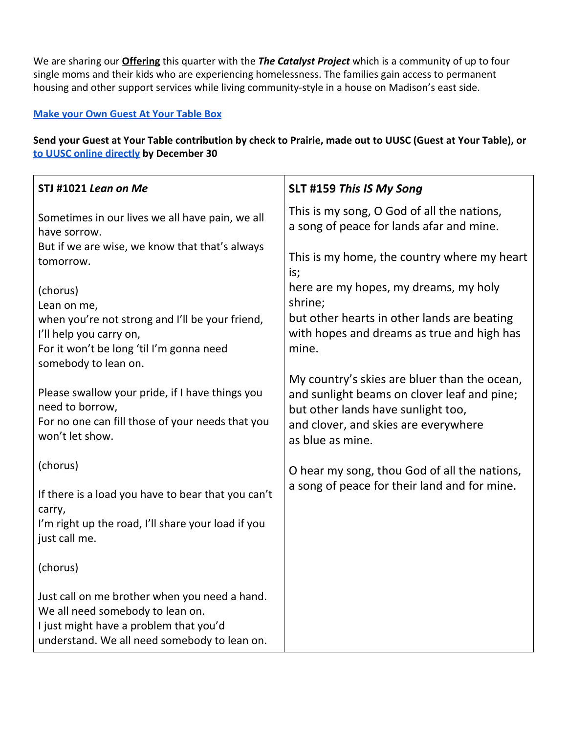We are sharing our **[Offering](https://www.paypal.com/cgi-bin/webscr?cmd=_s-xclick&hosted_button_id=T3LVLF6FD6LPE&source=url)** this quarter with the *The Catalyst Project* which is a community of up to four single moms and their kids who are experiencing homelessness. The families gain access to permanent housing and other support services while living community-style in a house on Madison's east side.

### **[Make your Own Guest At Your Table Box](https://www.uusc.org/wp-content/uploads/2020/09/Template-for-homemade-GAYT-box-2020-21.pdf)**

### **Send your Guest at Your Table contribution by check to Prairie, made out to UUSC (Guest at Your Table), or [to UUSC online directly](https://donate.uusc.org/give/75595/#!/donation/checkout) by December 30**

| STJ #1021 Lean on Me                                                                                                                                                        | SLT #159 This IS My Song                                                                                                                                                                      |
|-----------------------------------------------------------------------------------------------------------------------------------------------------------------------------|-----------------------------------------------------------------------------------------------------------------------------------------------------------------------------------------------|
| Sometimes in our lives we all have pain, we all<br>have sorrow.                                                                                                             | This is my song, O God of all the nations,<br>a song of peace for lands afar and mine.                                                                                                        |
| But if we are wise, we know that that's always<br>tomorrow.                                                                                                                 | This is my home, the country where my heart<br>is;                                                                                                                                            |
| (chorus)<br>Lean on me,                                                                                                                                                     | here are my hopes, my dreams, my holy<br>shrine;                                                                                                                                              |
| when you're not strong and I'll be your friend,<br>I'll help you carry on,<br>For it won't be long 'til I'm gonna need<br>somebody to lean on.                              | but other hearts in other lands are beating<br>with hopes and dreams as true and high has<br>mine.                                                                                            |
| Please swallow your pride, if I have things you<br>need to borrow,<br>For no one can fill those of your needs that you<br>won't let show.                                   | My country's skies are bluer than the ocean,<br>and sunlight beams on clover leaf and pine;<br>but other lands have sunlight too,<br>and clover, and skies are everywhere<br>as blue as mine. |
| (chorus)                                                                                                                                                                    | O hear my song, thou God of all the nations,                                                                                                                                                  |
| If there is a load you have to bear that you can't<br>carry,                                                                                                                | a song of peace for their land and for mine.                                                                                                                                                  |
| I'm right up the road, I'll share your load if you<br>just call me.                                                                                                         |                                                                                                                                                                                               |
| (chorus)                                                                                                                                                                    |                                                                                                                                                                                               |
| Just call on me brother when you need a hand.<br>We all need somebody to lean on.<br>I just might have a problem that you'd<br>understand. We all need somebody to lean on. |                                                                                                                                                                                               |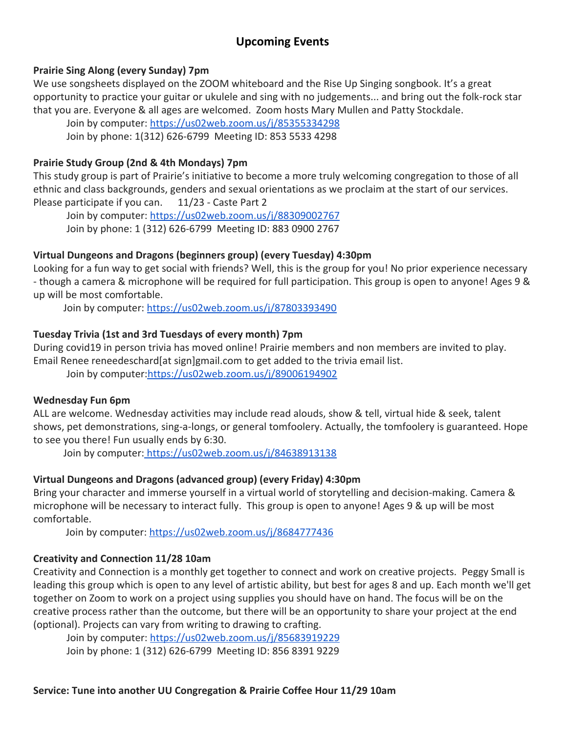# **Upcoming Events**

### **Prairie Sing Along (every Sunday) 7pm**

We use songsheets displayed on the ZOOM whiteboard and the Rise Up Singing songbook. It's a great opportunity to practice your guitar or ukulele and sing with no judgements... and bring out the folk-rock star that you are. Everyone & all ages are welcomed. Zoom hosts Mary Mullen and Patty Stockdale.

[Join by computer](https://us02web.zoom.us/j/85355334298):<https://us02web.zoom.us/j/85355334298> Join by phone: 1(312) 626-6799 Meeting ID: 853 5533 4298

### **Prairie Study Group (2nd & 4th Mondays) 7pm**

This study group is part of Prairie's initiative to become a more truly welcoming congregation to those of all ethnic and class backgrounds, genders and sexual orientations as we proclaim at the start of our services. Please participate if you can. 11/23 - Caste Part 2

Join by computer: <https://us02web.zoom.us/j/88309002767> Join by phone: 1 (312) 626-6799 Meeting ID: 883 0900 2767

### **Virtual Dungeons and Dragons (beginners group) (every Tuesday) 4:30pm**

Looking for a fun way to get social with friends? Well, this is the group for you! No prior experience necessary - though a camera & microphone will be required for full participation. This group is open to anyone! Ages 9 & up will be most comfortable.

Join by computer: <https://us02web.zoom.us/j/87803393490>

### **Tuesday Trivia (1st and 3rd Tuesdays of every month) 7pm**

During covid19 in person trivia has moved online! Prairie members and non members are invited to play. Email Renee reneedeschard[at sign]gmail.com to get added to the trivia email list.

Join by computer[:https://us02web.zoom.us/j/89006194902](https://us02web.zoom.us/j/89006194902)

#### **Wednesday Fun 6pm**

ALL are welcome. Wednesday activities may include read alouds, show & tell, virtual hide & seek, talent shows, pet demonstrations, sing-a-longs, or general tomfoolery. Actually, the tomfoolery is guaranteed. Hope to see you there! Fun usually ends by 6:30.

Join by computer: <https://us02web.zoom.us/j/84638913138>

### **Virtual Dungeons and Dragons (advanced group) (every Friday) 4:30pm**

Bring your character and immerse yourself in a virtual world of storytelling and decision-making. Camera & microphone will be necessary to interact fully. This group is open to anyone! Ages 9 & up will be most comfortable.

Join by computer: <https://us02web.zoom.us/j/8684777436>

#### **Creativity and Connection 11/28 10am**

Creativity and Connection is a monthly get together to connect and work on creative projects. Peggy Small is leading this group which is open to any level of artistic ability, but best for ages 8 and up. Each month we'll get together on Zoom to work on a project using supplies you should have on hand. The focus will be on the creative process rather than the outcome, but there will be an opportunity to share your project at the end (optional). Projects can vary from writing to drawing to crafting.

Join by computer: <https://us02web.zoom.us/j/85683919229> Join by phone: 1 (312) 626-6799 Meeting ID: 856 8391 9229